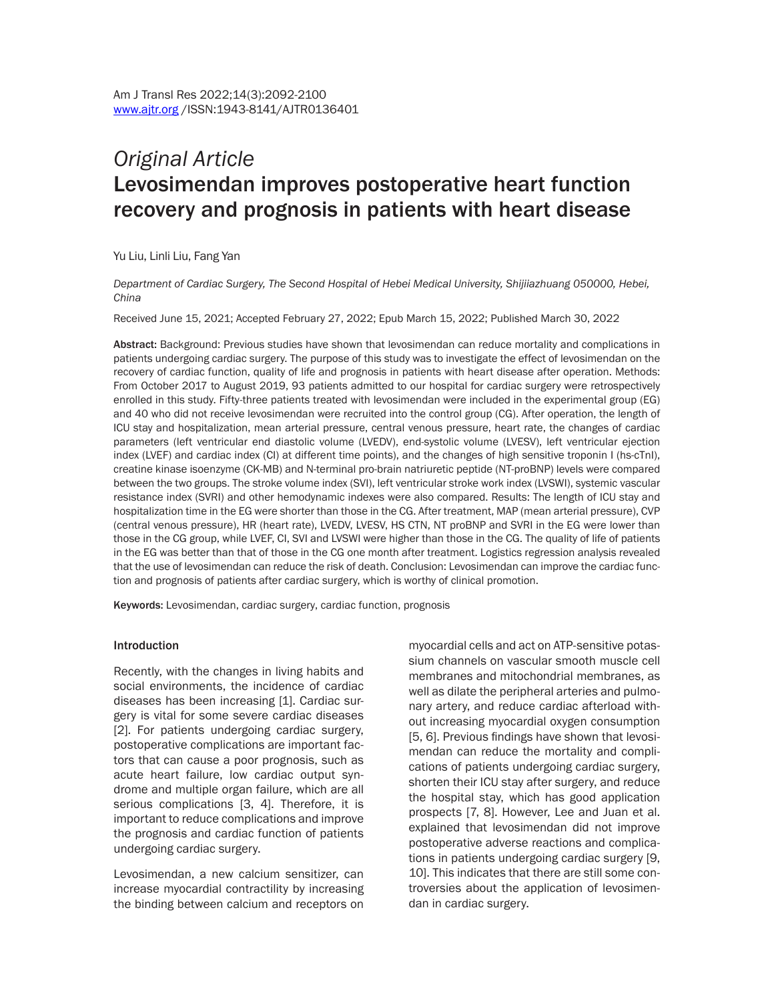# *Original Article* Levosimendan improves postoperative heart function recovery and prognosis in patients with heart disease

Yu Liu, Linli Liu, Fang Yan

*Department of Cardiac Surgery, The Second Hospital of Hebei Medical University, Shijiiazhuang 050000, Hebei, China*

Received June 15, 2021; Accepted February 27, 2022; Epub March 15, 2022; Published March 30, 2022

Abstract: Background: Previous studies have shown that levosimendan can reduce mortality and complications in patients undergoing cardiac surgery. The purpose of this study was to investigate the effect of levosimendan on the recovery of cardiac function, quality of life and prognosis in patients with heart disease after operation. Methods: From October 2017 to August 2019, 93 patients admitted to our hospital for cardiac surgery were retrospectively enrolled in this study. Fifty-three patients treated with levosimendan were included in the experimental group (EG) and 40 who did not receive levosimendan were recruited into the control group (CG). After operation, the length of ICU stay and hospitalization, mean arterial pressure, central venous pressure, heart rate, the changes of cardiac parameters (left ventricular end diastolic volume (LVEDV), end-systolic volume (LVESV), left ventricular ejection index (LVEF) and cardiac index (CI) at different time points), and the changes of high sensitive troponin I (hs-cTnI), creatine kinase isoenzyme (CK-MB) and N-terminal pro-brain natriuretic peptide (NT-proBNP) levels were compared between the two groups. The stroke volume index (SVI), left ventricular stroke work index (LVSWI), systemic vascular resistance index (SVRI) and other hemodynamic indexes were also compared. Results: The length of ICU stay and hospitalization time in the EG were shorter than those in the CG. After treatment, MAP (mean arterial pressure), CVP (central venous pressure), HR (heart rate), LVEDV, LVESV, HS CTN, NT proBNP and SVRI in the EG were lower than those in the CG group, while LVEF, CI, SVI and LVSWI were higher than those in the CG. The quality of life of patients in the EG was better than that of those in the CG one month after treatment. Logistics regression analysis revealed that the use of levosimendan can reduce the risk of death. Conclusion: Levosimendan can improve the cardiac function and prognosis of patients after cardiac surgery, which is worthy of clinical promotion.

Keywords: Levosimendan, cardiac surgery, cardiac function, prognosis

#### Introduction

Recently, with the changes in living habits and social environments, the incidence of cardiac diseases has been increasing [1]. Cardiac surgery is vital for some severe cardiac diseases [2]. For patients undergoing cardiac surgery, postoperative complications are important factors that can cause a poor prognosis, such as acute heart failure, low cardiac output syndrome and multiple organ failure, which are all serious complications [3, 4]. Therefore, it is important to reduce complications and improve the prognosis and cardiac function of patients undergoing cardiac surgery.

Levosimendan, a new calcium sensitizer, can increase myocardial contractility by increasing the binding between calcium and receptors on myocardial cells and act on ATP-sensitive potassium channels on vascular smooth muscle cell membranes and mitochondrial membranes, as well as dilate the peripheral arteries and pulmonary artery, and reduce cardiac afterload without increasing myocardial oxygen consumption [5, 6]. Previous findings have shown that levosimendan can reduce the mortality and complications of patients undergoing cardiac surgery, shorten their ICU stay after surgery, and reduce the hospital stay, which has good application prospects [7, 8]. However, Lee and Juan et al. explained that levosimendan did not improve postoperative adverse reactions and complications in patients undergoing cardiac surgery [9, 10]. This indicates that there are still some controversies about the application of levosimendan in cardiac surgery.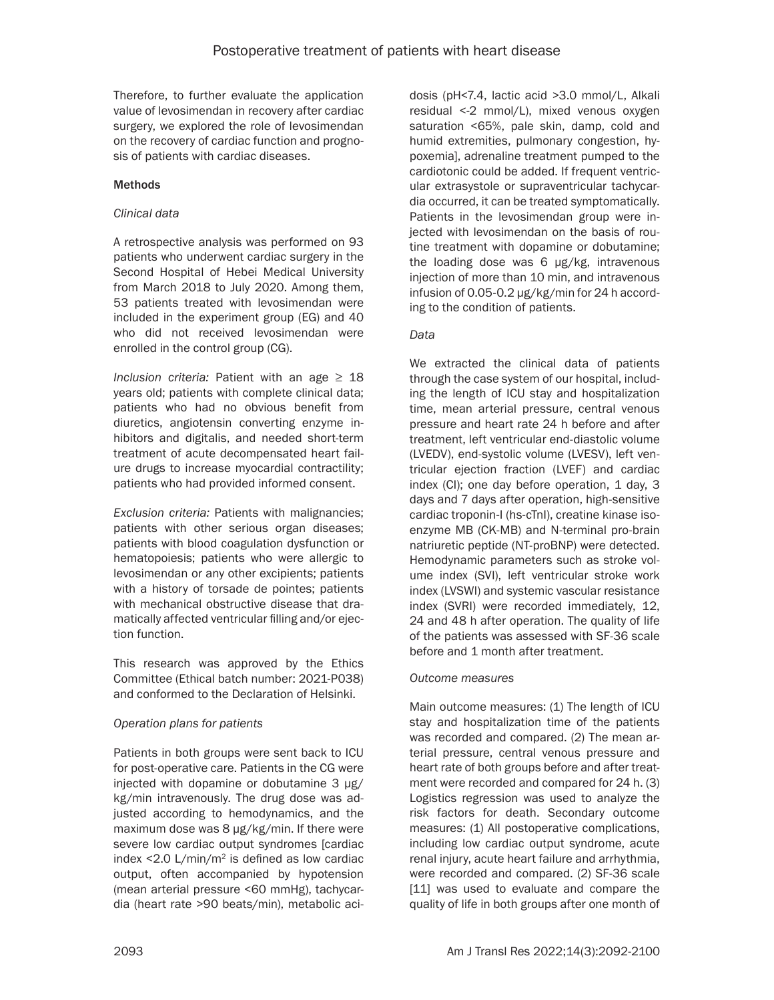Therefore, to further evaluate the application value of levosimendan in recovery after cardiac surgery, we explored the role of levosimendan on the recovery of cardiac function and prognosis of patients with cardiac diseases.

## **Methods**

## *Clinical data*

A retrospective analysis was performed on 93 patients who underwent cardiac surgery in the Second Hospital of Hebei Medical University from March 2018 to July 2020. Among them, 53 patients treated with levosimendan were included in the experiment group (EG) and 40 who did not received levosimendan were enrolled in the control group (CG).

*Inclusion criteria:* Patient with an age  $\geq 18$ years old; patients with complete clinical data; patients who had no obvious benefit from diuretics, angiotensin converting enzyme inhibitors and digitalis, and needed short-term treatment of acute decompensated heart failure drugs to increase myocardial contractility; patients who had provided informed consent.

*Exclusion criteria:* Patients with malignancies; patients with other serious organ diseases; patients with blood coagulation dysfunction or hematopoiesis; patients who were allergic to levosimendan or any other excipients; patients with a history of torsade de pointes; patients with mechanical obstructive disease that dramatically affected ventricular filling and/or ejection function.

This research was approved by the Ethics Committee (Ethical batch number: 2021-P038) and conformed to the Declaration of Helsinki.

# *Operation plans for patients*

Patients in both groups were sent back to ICU for post-operative care. Patients in the CG were injected with dopamine or dobutamine 3 μg/ kg/min intravenously. The drug dose was adjusted according to hemodynamics, and the maximum dose was 8 μg/kg/min. If there were severe low cardiac output syndromes [cardiac index  $\leq$  2.0 L/min/m<sup>2</sup> is defined as low cardiac output, often accompanied by hypotension (mean arterial pressure <60 mmHg), tachycardia (heart rate >90 beats/min), metabolic aci-

dosis (pH<7.4, lactic acid >3.0 mmol/L, Alkali residual <-2 mmol/L), mixed venous oxygen saturation <65%, pale skin, damp, cold and humid extremities, pulmonary congestion, hypoxemia], adrenaline treatment pumped to the cardiotonic could be added. If frequent ventricular extrasystole or supraventricular tachycardia occurred, it can be treated symptomatically. Patients in the levosimendan group were injected with levosimendan on the basis of routine treatment with dopamine or dobutamine; the loading dose was 6 μg/kg, intravenous injection of more than 10 min, and intravenous infusion of 0.05-0.2 μg/kg/min for 24 h according to the condition of patients.

## *Data*

We extracted the clinical data of patients through the case system of our hospital, including the length of ICU stay and hospitalization time, mean arterial pressure, central venous pressure and heart rate 24 h before and after treatment, left ventricular end-diastolic volume (LVEDV), end-systolic volume (LVESV), left ventricular ejection fraction (LVEF) and cardiac index (CI); one day before operation, 1 day, 3 days and 7 days after operation, high-sensitive cardiac troponin-I (hs-cTnI), creatine kinase isoenzyme MB (CK-MB) and N-terminal pro-brain natriuretic peptide (NT-proBNP) were detected. Hemodynamic parameters such as stroke volume index (SVI), left ventricular stroke work index (LVSWI) and systemic vascular resistance index (SVRI) were recorded immediately, 12, 24 and 48 h after operation. The quality of life of the patients was assessed with SF-36 scale before and 1 month after treatment.

## *Outcome measures*

Main outcome measures: (1) The length of ICU stay and hospitalization time of the patients was recorded and compared. (2) The mean arterial pressure, central venous pressure and heart rate of both groups before and after treatment were recorded and compared for 24 h. (3) Logistics regression was used to analyze the risk factors for death. Secondary outcome measures: (1) All postoperative complications, including low cardiac output syndrome, acute renal injury, acute heart failure and arrhythmia, were recorded and compared. (2) SF-36 scale [11] was used to evaluate and compare the quality of life in both groups after one month of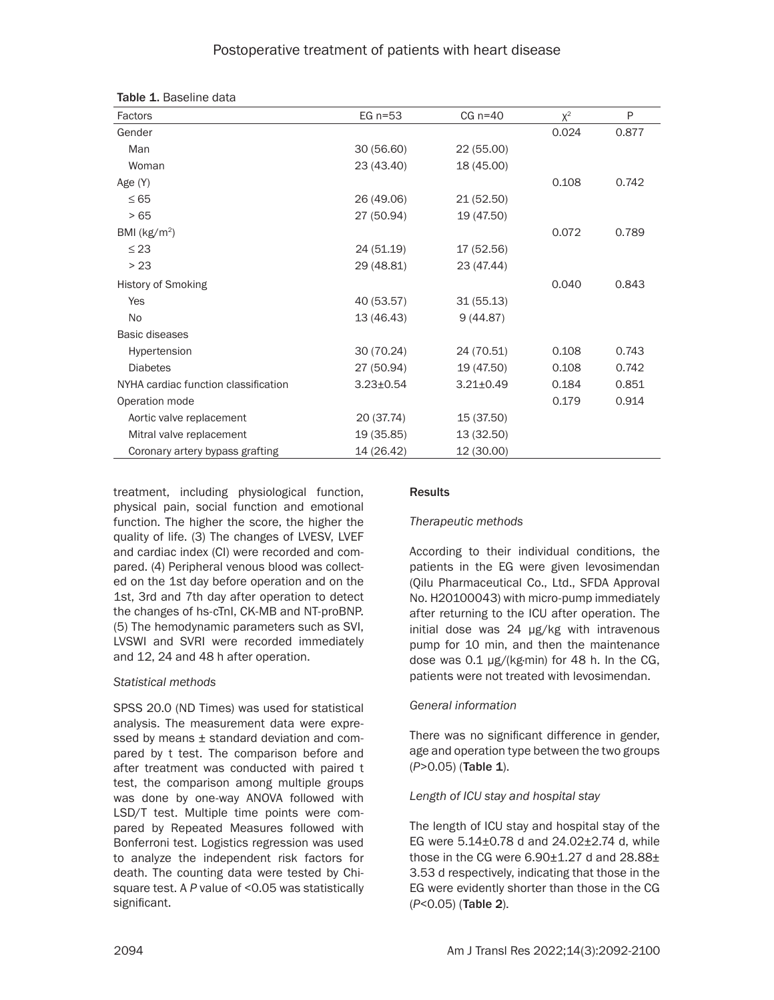# Postoperative treatment of patients with heart disease

| Factors                              | EG $n=53$       | $CG n=40$       | $X^2$ | P     |
|--------------------------------------|-----------------|-----------------|-------|-------|
| Gender                               |                 |                 | 0.024 | 0.877 |
| Man                                  | 30 (56.60)      | 22 (55.00)      |       |       |
| Woman                                | 23 (43.40)      | 18 (45.00)      |       |       |
| Age (Y)                              |                 |                 | 0.108 | 0.742 |
| $\leq 65$                            | 26 (49.06)      | 21 (52.50)      |       |       |
| >65                                  | 27 (50.94)      | 19 (47.50)      |       |       |
| BMI ( $kg/m2$ )                      |                 |                 | 0.072 | 0.789 |
| $\leq$ 23                            | 24 (51.19)      | 17 (52.56)      |       |       |
| > 23                                 | 29 (48.81)      | 23 (47.44)      |       |       |
| <b>History of Smoking</b>            |                 |                 | 0.040 | 0.843 |
| Yes                                  | 40 (53.57)      | 31(55.13)       |       |       |
| <b>No</b>                            | 13(46.43)       | 9(44.87)        |       |       |
| <b>Basic diseases</b>                |                 |                 |       |       |
| Hypertension                         | 30 (70.24)      | 24 (70.51)      | 0.108 | 0.743 |
| <b>Diabetes</b>                      | 27 (50.94)      | 19 (47.50)      | 0.108 | 0.742 |
| NYHA cardiac function classification | $3.23 \pm 0.54$ | $3.21 \pm 0.49$ | 0.184 | 0.851 |
| Operation mode                       |                 |                 | 0.179 | 0.914 |
| Aortic valve replacement             | 20 (37.74)      | 15 (37.50)      |       |       |
| Mitral valve replacement             | 19 (35.85)      | 13 (32.50)      |       |       |
| Coronary artery bypass grafting      | 14 (26.42)      | 12 (30.00)      |       |       |

treatment, including physiological function, physical pain, social function and emotional function. The higher the score, the higher the quality of life. (3) The changes of LVESV, LVEF and cardiac index (CI) were recorded and compared. (4) Peripheral venous blood was collected on the 1st day before operation and on the 1st, 3rd and 7th day after operation to detect the changes of hs-cTnI, CK-MB and NT-proBNP. (5) The hemodynamic parameters such as SVI, LVSWI and SVRI were recorded immediately and 12, 24 and 48 h after operation.

## *Statistical methods*

SPSS 20.0 (ND Times) was used for statistical analysis. The measurement data were expressed by means  $\pm$  standard deviation and compared by t test. The comparison before and after treatment was conducted with paired t test, the comparison among multiple groups was done by one-way ANOVA followed with LSD/T test. Multiple time points were compared by Repeated Measures followed with Bonferroni test. Logistics regression was used to analyze the independent risk factors for death. The counting data were tested by Chisquare test. A *P* value of <0.05 was statistically significant.

# Results

# *Therapeutic methods*

According to their individual conditions, the patients in the EG were given levosimendan (Qilu Pharmaceutical Co., Ltd., SFDA Approval No. H20100043) with micro-pump immediately after returning to the ICU after operation. The initial dose was 24 μg/kg with intravenous pump for 10 min, and then the maintenance dose was 0.1 μg/(kg·min) for 48 h. In the CG, patients were not treated with levosimendan.

# *General information*

There was no significant difference in gender, age and operation type between the two groups (*P*>0.05) (Table 1).

# *Length of ICU stay and hospital stay*

The length of ICU stay and hospital stay of the EG were 5.14±0.78 d and 24.02±2.74 d, while those in the CG were  $6.90\pm1.27$  d and  $28.88\pm$ 3.53 d respectively, indicating that those in the EG were evidently shorter than those in the CG (*P*<0.05) (Table 2).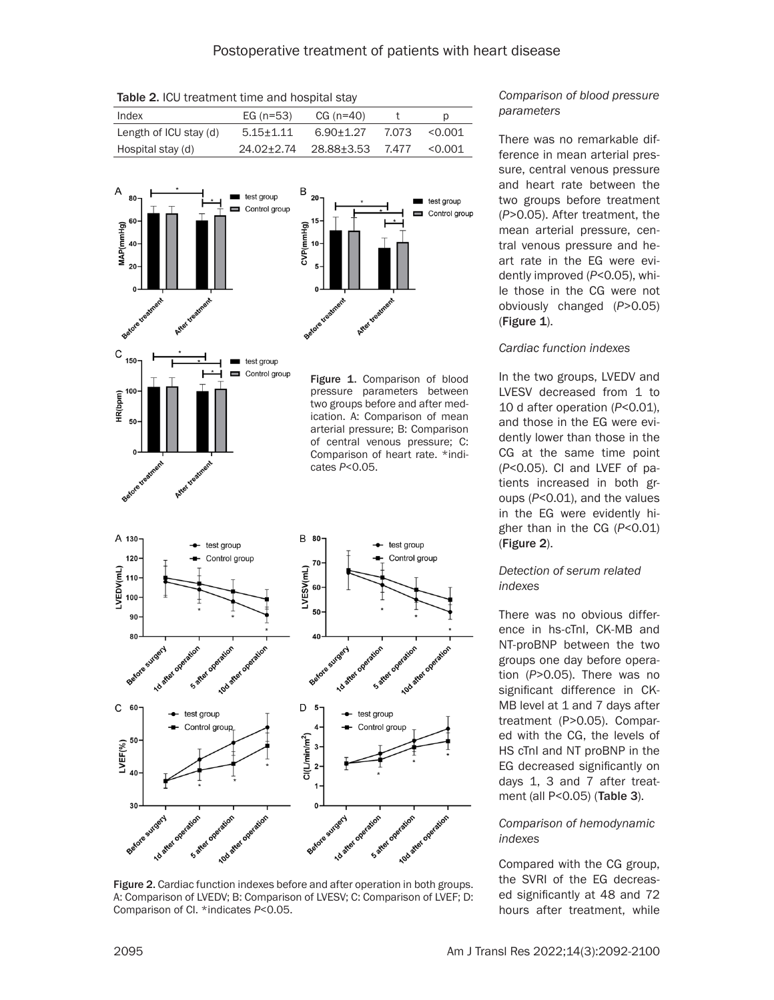Table 2. ICU treatment time and hospital stay

| Index                  | EG $(n=53)$   | $CG (n=40)$      |       |         |
|------------------------|---------------|------------------|-------|---------|
| Length of ICU stay (d) | $5.15 + 1.11$ | $6.90 + 1.27$    | 7.073 | < 0.001 |
| Hospital stay (d)      | 24.02+2.74    | 28.88+3.53 7.477 |       | < 0.001 |



Figure 2. Cardiac function indexes before and after operation in both groups. A: Comparison of LVEDV; B: Comparison of LVESV; C: Comparison of LVEF; D: Comparison of CI. \*indicates *P*<0.05.

## *Comparison of blood pressure parameters*

There was no remarkable difference in mean arterial pressure, central venous pressure and heart rate between the two groups before treatment (*P*>0.05). After treatment, the mean arterial pressure, central venous pressure and heart rate in the EG were evidently improved (*P*<0.05), while those in the CG were not obviously changed (*P*>0.05)  $(Figure 1)$ .

## *Cardiac function indexes*

In the two groups, LVEDV and LVESV decreased from 1 to 10 d after operation (*P*<0.01), and those in the EG were evidently lower than those in the CG at the same time point (*P*<0.05). CI and LVEF of patients increased in both groups (*P*<0.01), and the values in the EG were evidently higher than in the CG (*P*<0.01) (Figure 2).

## *Detection of serum related indexes*

There was no obvious difference in hs-cTnI, CK-MB and NT-proBNP between the two groups one day before operation (*P*>0.05). There was no significant difference in CK-MB level at 1 and 7 days after treatment (P>0.05). Compared with the CG, the levels of HS cTnI and NT proBNP in the EG decreased significantly on days 1, 3 and 7 after treatment (all P<0.05) (Table 3).

## *Comparison of hemodynamic indexes*

Compared with the CG group, the SVRI of the EG decreased significantly at 48 and 72 hours after treatment, while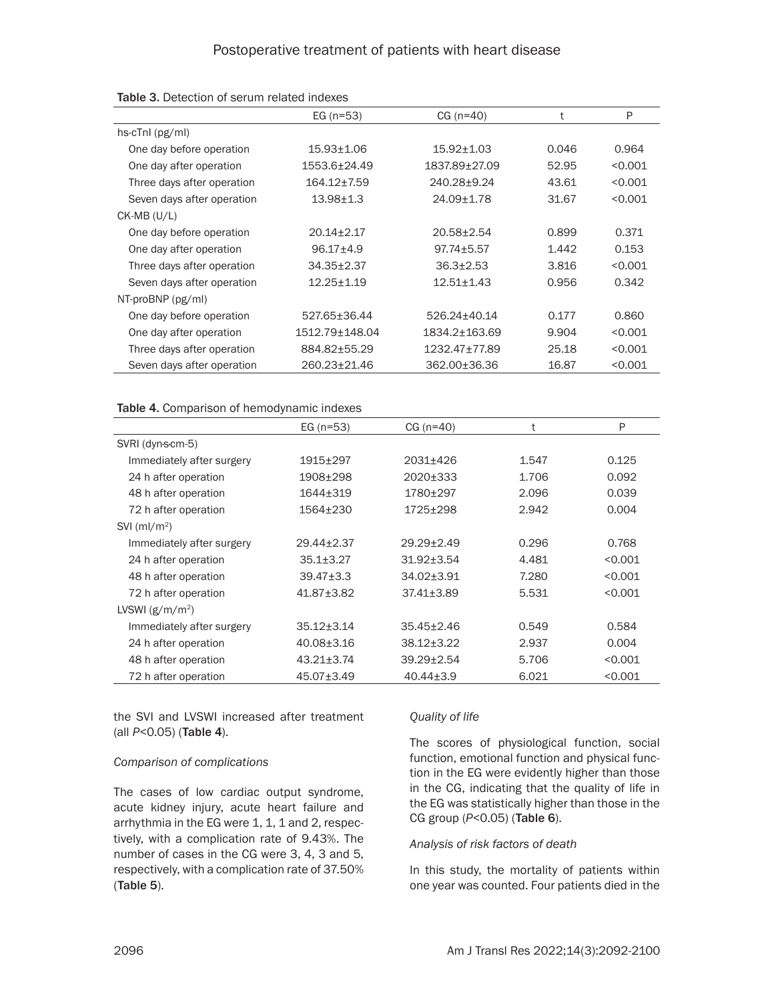|                                     | EG $(n=53)$       | $CG (n=40)$    | t     | P       |
|-------------------------------------|-------------------|----------------|-------|---------|
| $hs\text{-}cTnl$ ( $pg\text{/}ml$ ) |                   |                |       |         |
| One day before operation            | $15.93 + 1.06$    | $15.92 + 1.03$ | 0.046 | 0.964   |
| One day after operation             | 1553.6±24.49      | 1837.89±27.09  | 52.95 | < 0.001 |
| Three days after operation          | $164.12 \pm 7.59$ | 240.28+9.24    | 43.61 | < 0.001 |
| Seven days after operation          | $13.98 + 1.3$     | 24.09+1.78     | 31.67 | < 0.001 |
| $CK-MB (U/L)$                       |                   |                |       |         |
| One day before operation            | $20.14 + 2.17$    | $20.58 + 2.54$ | 0.899 | 0.371   |
| One day after operation             | $96.17 + 4.9$     | $97.74 + 5.57$ | 1.442 | 0.153   |
| Three days after operation          | $34.35 \pm 2.37$  | $36.3 + 2.53$  | 3.816 | < 0.001 |
| Seven days after operation          | $12.25 + 1.19$    | $12.51 + 1.43$ | 0.956 | 0.342   |
| $NT-proBNP$ ( $pg/ml$ )             |                   |                |       |         |
| One day before operation            | 527.65+36.44      | 526.24+40.14   | 0.177 | 0.860   |
| One day after operation             | 1512.79±148.04    | 1834.2+163.69  | 9.904 | < 0.001 |
| Three days after operation          | 884.82±55.29      | 1232.47±77.89  | 25.18 | < 0.001 |
| Seven days after operation          | 260.23±21.46      | 362.00±36.36   | 16.87 | < 0.001 |

#### Table 3. Detection of serum related indexes

#### Table 4. Comparison of hemodynamic indexes

|                            | EG $(n=53)$      | $CG (n=40)$      |       | Ρ       |
|----------------------------|------------------|------------------|-------|---------|
| SVRI (dyn-s-cm-5)          |                  |                  |       |         |
| Immediately after surgery  | $1915+297$       | 2031±426         | 1.547 | 0.125   |
| 24 h after operation       | 1908±298         | 2020±333         | 1.706 | 0.092   |
| 48 h after operation       | $1644 + 319$     | 1780±297         | 2.096 | 0.039   |
| 72 h after operation       | 1564±230         | 1725±298         | 2.942 | 0.004   |
| $SVI$ (ml/m <sup>2</sup> ) |                  |                  |       |         |
| Immediately after surgery  | 29.44±2.37       | $29.29 \pm 2.49$ | 0.296 | 0.768   |
| 24 h after operation       | $35.1 \pm 3.27$  | $31.92 \pm 3.54$ | 4.481 | < 0.001 |
| 48 h after operation       | $39.47 \pm 3.3$  | 34.02±3.91       | 7.280 | < 0.001 |
| 72 h after operation       | $41.87 \pm 3.82$ | $37.41 \pm 3.89$ | 5.531 | < 0.001 |
| LVSWI $(g/m/m^2)$          |                  |                  |       |         |
| Immediately after surgery  | $35.12 \pm 3.14$ | $35.45 + 2.46$   | 0.549 | 0.584   |
| 24 h after operation       | $40.08 \pm 3.16$ | $38.12 \pm 3.22$ | 2.937 | 0.004   |
| 48 h after operation       | $43.21 \pm 3.74$ | $39.29 \pm 2.54$ | 5.706 | < 0.001 |
| 72 h after operation       | 45.07±3.49       | $40.44 \pm 3.9$  | 6.021 | < 0.001 |

the SVI and LVSWI increased after treatment (all *P*<0.05) (Table 4).

#### *Comparison of complications*

The cases of low cardiac output syndrome, acute kidney injury, acute heart failure and arrhythmia in the EG were 1, 1, 1 and 2, respectively, with a complication rate of 9.43%. The number of cases in the CG were 3, 4, 3 and 5, respectively, with a complication rate of 37.50% (Table 5).

#### *Quality of life*

The scores of physiological function, social function, emotional function and physical function in the EG were evidently higher than those in the CG, indicating that the quality of life in the EG was statistically higher than those in the CG group (*P*<0.05) (Table 6).

#### *Analysis of risk factors of death*

In this study, the mortality of patients within one year was counted. Four patients died in the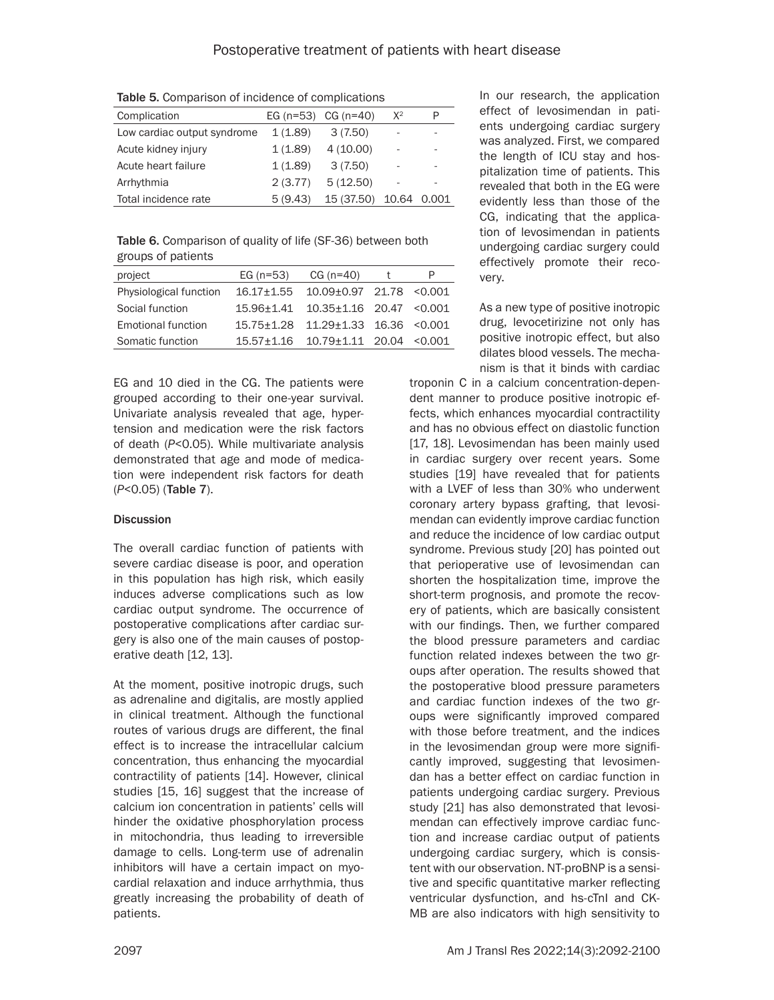Table 5. Comparison of incidence of complications

| Complication                |         | EG $(n=53)$ CG $(n=40)$ | $X^2$ | P     |
|-----------------------------|---------|-------------------------|-------|-------|
| Low cardiac output syndrome | 1(1.89) | 3(7.50)                 |       |       |
| Acute kidney injury         | 1(1.89) | 4(10.00)                |       |       |
| Acute heart failure         | 1(1.89) | 3(7.50)                 |       |       |
| Arrhythmia                  | 2(3.77) | 5(12.50)                |       |       |
| Total incidence rate        | 5(9.43) | 15 (37.50)              | 10.64 | 0.001 |

Table 6. Comparison of quality of life (SF-36) between both groups of patients

| project                   | EG $(n=53)$ | $CG (n=40)$                           |  |
|---------------------------|-------------|---------------------------------------|--|
| Physiological function    | 16.17+1.55  | 10.09±0.97 21.78 < 0.001              |  |
| Social function           |             | 15.96±1.41  10.35±1.16  20.47  <0.001 |  |
| <b>Emotional function</b> | 15.75+1.28  | $11.29 \pm 1.33$ $16.36$ < 0.001      |  |
| Somatic function          | 15.57+1.16  | $10.79 \pm 1.11$ 20.04 < 0.001        |  |

EG and 10 died in the CG. The patients were grouped according to their one-year survival. Univariate analysis revealed that age, hypertension and medication were the risk factors of death (*P*<0.05). While multivariate analysis demonstrated that age and mode of medication were independent risk factors for death (*P*<0.05) (Table 7).

# **Discussion**

The overall cardiac function of patients with severe cardiac disease is poor, and operation in this population has high risk, which easily induces adverse complications such as low cardiac output syndrome. The occurrence of postoperative complications after cardiac surgery is also one of the main causes of postoperative death [12, 13].

At the moment, positive inotropic drugs, such as adrenaline and digitalis, are mostly applied in clinical treatment. Although the functional routes of various drugs are different, the final effect is to increase the intracellular calcium concentration, thus enhancing the myocardial contractility of patients [14]. However, clinical studies [15, 16] suggest that the increase of calcium ion concentration in patients' cells will hinder the oxidative phosphorylation process in mitochondria, thus leading to irreversible damage to cells. Long-term use of adrenalin inhibitors will have a certain impact on myocardial relaxation and induce arrhythmia, thus greatly increasing the probability of death of patients.

In our research, the application effect of levosimendan in patients undergoing cardiac surgery was analyzed. First, we compared the length of ICU stay and hospitalization time of patients. This revealed that both in the EG were evidently less than those of the CG, indicating that the application of levosimendan in patients undergoing cardiac surgery could effectively promote their recovery.

As a new type of positive inotropic drug, levocetirizine not only has positive inotropic effect, but also dilates blood vessels. The mechanism is that it binds with cardiac

troponin C in a calcium concentration-dependent manner to produce positive inotropic effects, which enhances myocardial contractility and has no obvious effect on diastolic function [17, 18]. Levosimendan has been mainly used in cardiac surgery over recent years. Some studies [19] have revealed that for patients with a LVEF of less than 30% who underwent coronary artery bypass grafting, that levosimendan can evidently improve cardiac function and reduce the incidence of low cardiac output syndrome. Previous study [20] has pointed out that perioperative use of levosimendan can shorten the hospitalization time, improve the short-term prognosis, and promote the recovery of patients, which are basically consistent with our findings. Then, we further compared the blood pressure parameters and cardiac function related indexes between the two groups after operation. The results showed that the postoperative blood pressure parameters and cardiac function indexes of the two groups were significantly improved compared with those before treatment, and the indices in the levosimendan group were more significantly improved, suggesting that levosimendan has a better effect on cardiac function in patients undergoing cardiac surgery. Previous study [21] has also demonstrated that levosimendan can effectively improve cardiac function and increase cardiac output of patients undergoing cardiac surgery, which is consistent with our observation. NT-proBNP is a sensitive and specific quantitative marker reflecting ventricular dysfunction, and hs-cTnI and CK-MB are also indicators with high sensitivity to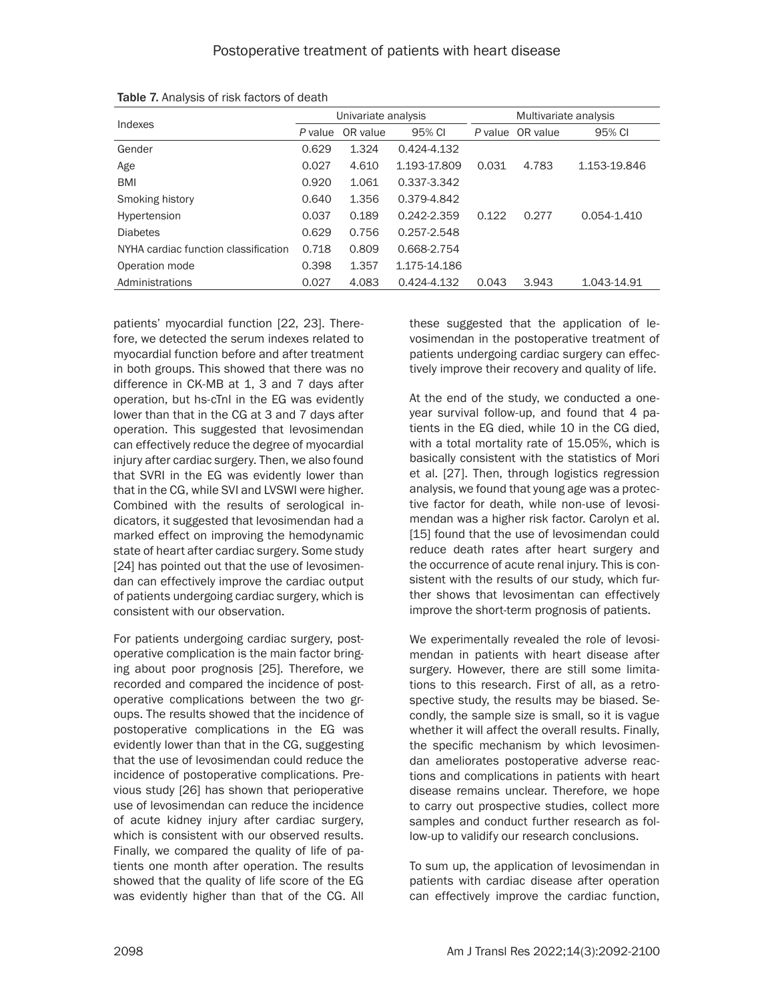|                                      | Univariate analysis |          |              | Multivariate analysis |                  |              |
|--------------------------------------|---------------------|----------|--------------|-----------------------|------------------|--------------|
| Indexes                              | P value             | OR value | 95% CI       |                       | P value OR value | 95% CI       |
| Gender                               | 0.629               | 1.324    | 0.424-4.132  |                       |                  |              |
| Age                                  | 0.027               | 4.610    | 1.193-17.809 | 0.031                 | 4.783            | 1.153-19.846 |
| <b>BMI</b>                           | 0.920               | 1.061    | 0.337-3.342  |                       |                  |              |
| Smoking history                      | 0.640               | 1.356    | 0.379-4.842  |                       |                  |              |
| Hypertension                         | 0.037               | 0.189    | 0.242-2.359  | 0.122                 | 0.277            | 0.054-1.410  |
| <b>Diabetes</b>                      | 0.629               | 0.756    | 0.257-2.548  |                       |                  |              |
| NYHA cardiac function classification | 0.718               | 0.809    | 0.668-2.754  |                       |                  |              |
| Operation mode                       | 0.398               | 1.357    | 1.175-14.186 |                       |                  |              |
| Administrations                      | 0.027               | 4.083    | 0.424-4.132  | 0.043                 | 3.943            | 1.043-14.91  |

Table 7. Analysis of risk factors of death

patients' myocardial function [22, 23]. Therefore, we detected the serum indexes related to myocardial function before and after treatment in both groups. This showed that there was no difference in CK-MB at 1, 3 and 7 days after operation, but hs-cTnI in the EG was evidently lower than that in the CG at 3 and 7 days after operation. This suggested that levosimendan can effectively reduce the degree of myocardial injury after cardiac surgery. Then, we also found that SVRI in the EG was evidently lower than that in the CG, while SVI and LVSWI were higher. Combined with the results of serological indicators, it suggested that levosimendan had a marked effect on improving the hemodynamic state of heart after cardiac surgery. Some study [24] has pointed out that the use of levosimendan can effectively improve the cardiac output of patients undergoing cardiac surgery, which is consistent with our observation.

For patients undergoing cardiac surgery, postoperative complication is the main factor bringing about poor prognosis [25]. Therefore, we recorded and compared the incidence of postoperative complications between the two groups. The results showed that the incidence of postoperative complications in the EG was evidently lower than that in the CG, suggesting that the use of levosimendan could reduce the incidence of postoperative complications. Previous study [26] has shown that perioperative use of levosimendan can reduce the incidence of acute kidney injury after cardiac surgery, which is consistent with our observed results. Finally, we compared the quality of life of patients one month after operation. The results showed that the quality of life score of the EG was evidently higher than that of the CG. All

these suggested that the application of levosimendan in the postoperative treatment of patients undergoing cardiac surgery can effectively improve their recovery and quality of life.

At the end of the study, we conducted a oneyear survival follow-up, and found that 4 patients in the EG died, while 10 in the CG died, with a total mortality rate of 15.05%, which is basically consistent with the statistics of Mori et al. [27]. Then, through logistics regression analysis, we found that young age was a protective factor for death, while non-use of levosimendan was a higher risk factor. Carolyn et al. [15] found that the use of levosimendan could reduce death rates after heart surgery and the occurrence of acute renal injury. This is consistent with the results of our study, which further shows that levosimentan can effectively improve the short-term prognosis of patients.

We experimentally revealed the role of levosimendan in patients with heart disease after surgery. However, there are still some limitations to this research. First of all, as a retrospective study, the results may be biased. Secondly, the sample size is small, so it is vague whether it will affect the overall results. Finally, the specific mechanism by which levosimendan ameliorates postoperative adverse reactions and complications in patients with heart disease remains unclear. Therefore, we hope to carry out prospective studies, collect more samples and conduct further research as follow-up to validify our research conclusions.

To sum up, the application of levosimendan in patients with cardiac disease after operation can effectively improve the cardiac function,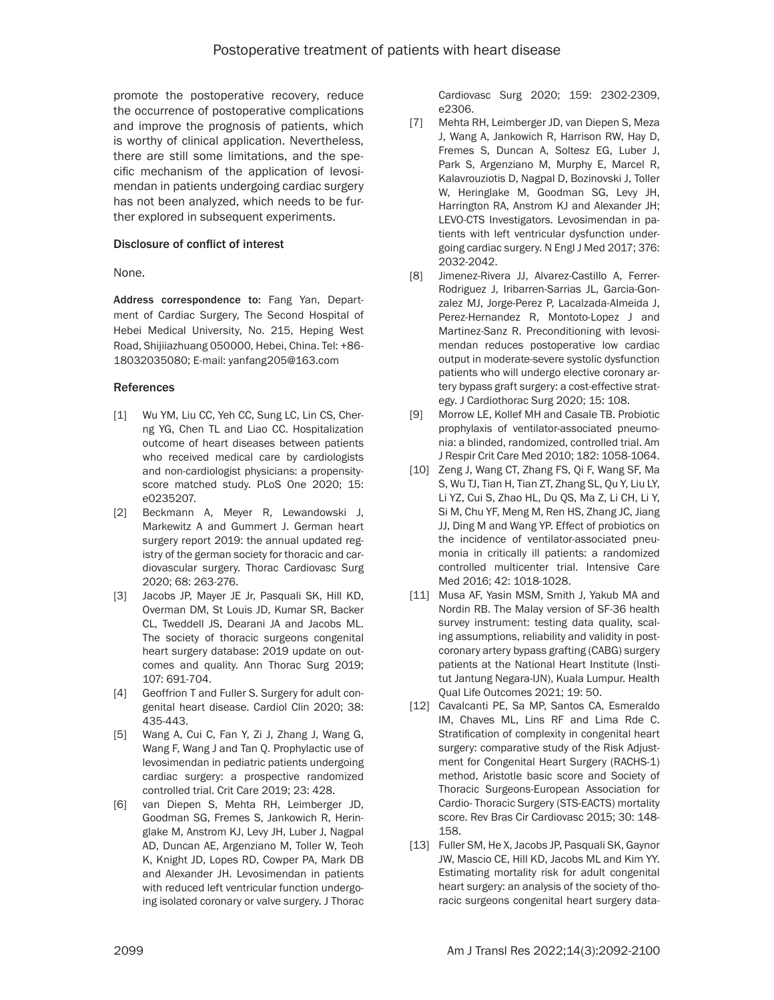promote the postoperative recovery, reduce the occurrence of postoperative complications and improve the prognosis of patients, which is worthy of clinical application. Nevertheless, there are still some limitations, and the specific mechanism of the application of levosimendan in patients undergoing cardiac surgery has not been analyzed, which needs to be further explored in subsequent experiments.

## Disclosure of conflict of interest

#### None.

Address correspondence to: Fang Yan, Department of Cardiac Surgery, The Second Hospital of Hebei Medical University, No. 215, Heping West Road, Shijiiazhuang 050000, Hebei, China. Tel: +86- 18032035080; E-mail: yanfang205@163.com

#### References

- [1] Wu YM, Liu CC, Yeh CC, Sung LC, Lin CS, Cherng YG, Chen TL and Liao CC. Hospitalization outcome of heart diseases between patients who received medical care by cardiologists and non-cardiologist physicians: a propensityscore matched study. PLoS One 2020; 15: e0235207.
- [2] Beckmann A, Meyer R, Lewandowski J, Markewitz A and Gummert J. German heart surgery report 2019: the annual updated registry of the german society for thoracic and cardiovascular surgery. Thorac Cardiovasc Surg 2020; 68: 263-276.
- [3] Jacobs JP, Mayer JE Jr, Pasquali SK, Hill KD, Overman DM, St Louis JD, Kumar SR, Backer CL, Tweddell JS, Dearani JA and Jacobs ML. The society of thoracic surgeons congenital heart surgery database: 2019 update on outcomes and quality. Ann Thorac Surg 2019; 107: 691-704.
- [4] Geoffrion T and Fuller S. Surgery for adult congenital heart disease. Cardiol Clin 2020; 38: 435-443.
- [5] Wang A, Cui C, Fan Y, Zi J, Zhang J, Wang G, Wang F, Wang J and Tan Q. Prophylactic use of levosimendan in pediatric patients undergoing cardiac surgery: a prospective randomized controlled trial. Crit Care 2019; 23: 428.
- [6] van Diepen S, Mehta RH, Leimberger JD, Goodman SG, Fremes S, Jankowich R, Heringlake M, Anstrom KJ, Levy JH, Luber J, Nagpal AD, Duncan AE, Argenziano M, Toller W, Teoh K, Knight JD, Lopes RD, Cowper PA, Mark DB and Alexander JH. Levosimendan in patients with reduced left ventricular function undergoing isolated coronary or valve surgery. J Thorac

Cardiovasc Surg 2020; 159: 2302-2309, e2306.

- [7] Mehta RH, Leimberger JD, van Diepen S, Meza J, Wang A, Jankowich R, Harrison RW, Hay D, Fremes S, Duncan A, Soltesz EG, Luber J, Park S, Argenziano M, Murphy E, Marcel R, Kalavrouziotis D, Nagpal D, Bozinovski J, Toller W, Heringlake M, Goodman SG, Levy JH, Harrington RA, Anstrom KJ and Alexander JH; LEVO-CTS Investigators. Levosimendan in patients with left ventricular dysfunction undergoing cardiac surgery. N Engl J Med 2017; 376: 2032-2042.
- [8] Jimenez-Rivera JJ, Alvarez-Castillo A, Ferrer-Rodriguez J, Iribarren-Sarrias JL, Garcia-Gonzalez MJ, Jorge-Perez P, Lacalzada-Almeida J, Perez-Hernandez R, Montoto-Lopez J and Martinez-Sanz R. Preconditioning with levosimendan reduces postoperative low cardiac output in moderate-severe systolic dysfunction patients who will undergo elective coronary artery bypass graft surgery: a cost-effective strategy. J Cardiothorac Surg 2020; 15: 108.
- [9] Morrow LE, Kollef MH and Casale TB. Probiotic prophylaxis of ventilator-associated pneumonia: a blinded, randomized, controlled trial. Am J Respir Crit Care Med 2010; 182: 1058-1064.
- [10] Zeng J, Wang CT, Zhang FS, Qi F, Wang SF, Ma S, Wu TJ, Tian H, Tian ZT, Zhang SL, Qu Y, Liu LY, Li YZ, Cui S, Zhao HL, Du QS, Ma Z, Li CH, Li Y, Si M, Chu YF, Meng M, Ren HS, Zhang JC, Jiang JJ, Ding M and Wang YP. Effect of probiotics on the incidence of ventilator-associated pneumonia in critically ill patients: a randomized controlled multicenter trial. Intensive Care Med 2016; 42: 1018-1028.
- [11] Musa AF, Yasin MSM, Smith J, Yakub MA and Nordin RB. The Malay version of SF-36 health survey instrument: testing data quality, scaling assumptions, reliability and validity in postcoronary artery bypass grafting (CABG) surgery patients at the National Heart Institute (Institut Jantung Negara-IJN), Kuala Lumpur. Health Qual Life Outcomes 2021; 19: 50.
- [12] Cavalcanti PE, Sa MP, Santos CA, Esmeraldo IM, Chaves ML, Lins RF and Lima Rde C. Stratification of complexity in congenital heart surgery: comparative study of the Risk Adjustment for Congenital Heart Surgery (RACHS-1) method, Aristotle basic score and Society of Thoracic Surgeons-European Association for Cardio- Thoracic Surgery (STS-EACTS) mortality score. Rev Bras Cir Cardiovasc 2015; 30: 148- 158.
- [13] Fuller SM, He X, Jacobs JP, Pasquali SK, Gaynor JW, Mascio CE, Hill KD, Jacobs ML and Kim YY. Estimating mortality risk for adult congenital heart surgery: an analysis of the society of thoracic surgeons congenital heart surgery data-